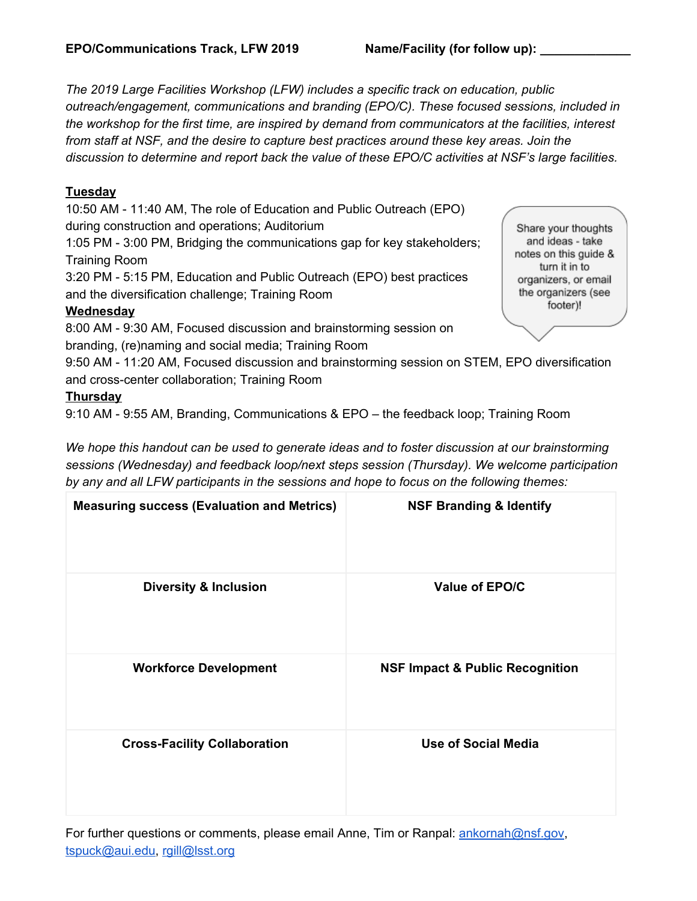*The 2019 Large Facilities Workshop (LFW) includes a specific track on education, public outreach/engagement, communications and branding (EPO/C). These focused sessions, included in the workshop for the first time, are inspired by demand from communicators at the facilities, interest from staff at NSF, and the desire to capture best practices around these key areas. Join the discussion to determine and report back the value of these EPO/C activities at NSF's large facilities.*

#### **Tuesday**

10:50 AM - 11:40 AM, The role of Education and Public Outreach (EPO) during construction and operations; Auditorium

1:05 PM - 3:00 PM, Bridging the communications gap for key stakeholders; Training Room

3:20 PM - 5:15 PM, Education and Public Outreach (EPO) best practices and the diversification challenge; Training Room

#### **Wednesday**

8:00 AM - 9:30 AM, Focused discussion and brainstorming session on branding, (re)naming and social media; Training Room

Share your thoughts and ideas - take notes on this guide & turn it in to organizers, or email the organizers (see footer)!

9:50 AM - 11:20 AM, Focused discussion and brainstorming session on STEM, EPO diversification and cross-center collaboration; Training Room

#### **Thursday**

9:10 AM - 9:55 AM, Branding, Communications & EPO – the feedback loop; Training Room

*We hope this handout can be used to generate ideas and to foster discussion at our brainstorming sessions (Wednesday) and feedback loop/next steps session (Thursday). We welcome participation by any and all LFW participants in the sessions and hope to focus on the following themes:*

| <b>Measuring success (Evaluation and Metrics)</b> | <b>NSF Branding &amp; Identify</b>         |
|---------------------------------------------------|--------------------------------------------|
| <b>Diversity &amp; Inclusion</b>                  | Value of EPO/C                             |
| <b>Workforce Development</b>                      | <b>NSF Impact &amp; Public Recognition</b> |
| <b>Cross-Facility Collaboration</b>               | <b>Use of Social Media</b>                 |

For further questions or comments, please email Anne, Tim or Ranpal: [ankornah@nsf.gov,](mailto:ankornah@nsf.gov) [tspuck@aui.edu](mailto:tspuck@aui.edu), [rgill@lsst.org](mailto:rgill@lsst.org)